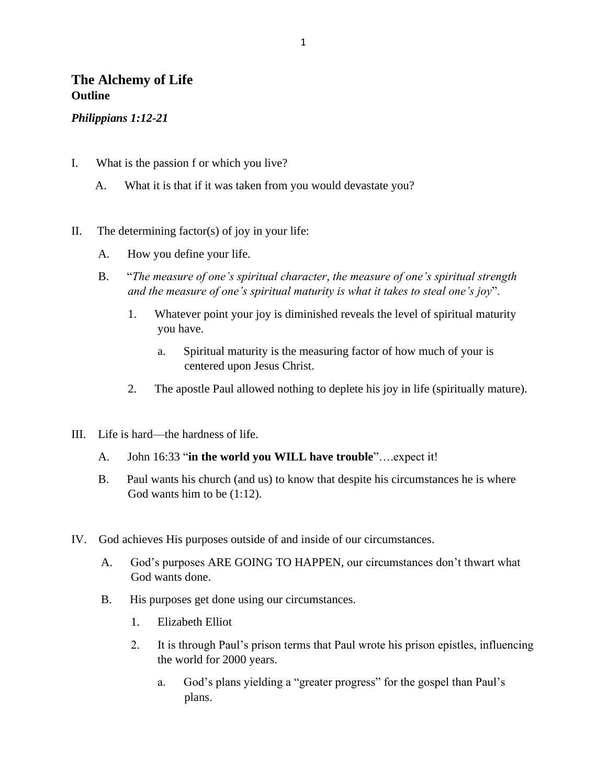## **The Alchemy of Life Outline**

#### *Philippians 1:12-21*

- I. What is the passion f or which you live?
	- A. What it is that if it was taken from you would devastate you?
- II. The determining factor(s) of joy in your life:
	- A. How you define your life.
	- B. "*The measure of one's spiritual character, the measure of one's spiritual strength and the measure of one's spiritual maturity is what it takes to steal one's joy*".
		- 1. Whatever point your joy is diminished reveals the level of spiritual maturity you have.
			- a. Spiritual maturity is the measuring factor of how much of your is centered upon Jesus Christ.
		- 2. The apostle Paul allowed nothing to deplete his joy in life (spiritually mature).
- III. Life is hard—the hardness of life.
	- A. John 16:33 "**in the world you WILL have trouble**"….expect it!
	- B. Paul wants his church (and us) to know that despite his circumstances he is where God wants him to be (1:12).
- IV. God achieves His purposes outside of and inside of our circumstances.
	- A. God's purposes ARE GOING TO HAPPEN, our circumstances don't thwart what God wants done.
	- B. His purposes get done using our circumstances.
		- 1. Elizabeth Elliot
		- 2. It is through Paul's prison terms that Paul wrote his prison epistles, influencing the world for 2000 years.
			- a. God's plans yielding a "greater progress" for the gospel than Paul's plans.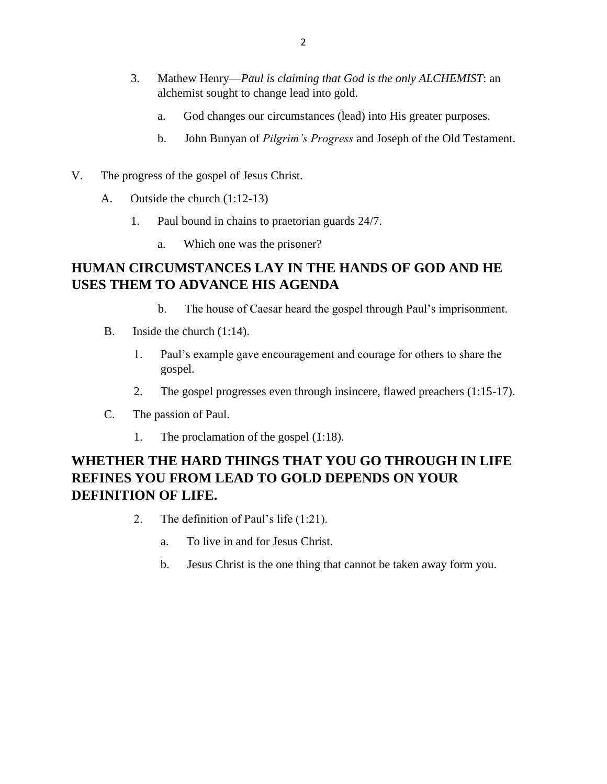- 3. Mathew Henry—*Paul is claiming that God is the only ALCHEMIST*: an alchemist sought to change lead into gold.
	- a. God changes our circumstances (lead) into His greater purposes.
	- b. John Bunyan of *Pilgrim's Progress* and Joseph of the Old Testament.
- V. The progress of the gospel of Jesus Christ.
	- A. Outside the church (1:12-13)
		- 1. Paul bound in chains to praetorian guards 24/7.
			- a. Which one was the prisoner?

# **HUMAN CIRCUMSTANCES LAY IN THE HANDS OF GOD AND HE USES THEM TO ADVANCE HIS AGENDA**

- b. The house of Caesar heard the gospel through Paul's imprisonment.
- B. Inside the church (1:14).
	- 1. Paul's example gave encouragement and courage for others to share the gospel.
	- 2. The gospel progresses even through insincere, flawed preachers (1:15-17).
- C. The passion of Paul.
	- 1. The proclamation of the gospel (1:18).

# **WHETHER THE HARD THINGS THAT YOU GO THROUGH IN LIFE REFINES YOU FROM LEAD TO GOLD DEPENDS ON YOUR DEFINITION OF LIFE.**

- 2. The definition of Paul's life (1:21).
	- a. To live in and for Jesus Christ.
	- b. Jesus Christ is the one thing that cannot be taken away form you.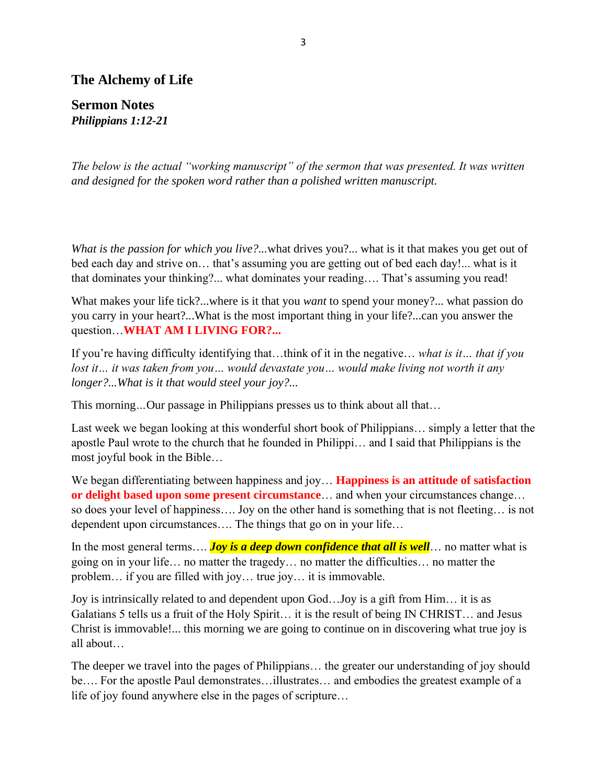## **The Alchemy of Life**

**Sermon Notes** *Philippians 1:12-21*

*The below is the actual "working manuscript" of the sermon that was presented. It was written and designed for the spoken word rather than a polished written manuscript.* 

*What is the passion for which you live?...* what drives you?... what is it that makes you get out of bed each day and strive on… that's assuming you are getting out of bed each day!... what is it that dominates your thinking?... what dominates your reading…. That's assuming you read!

What makes your life tick?...where is it that you *want* to spend your money?... what passion do you carry in your heart?...What is the most important thing in your life?...can you answer the question…**WHAT AM I LIVING FOR?...**

If you're having difficulty identifying that…think of it in the negative… *what is it… that if you lost it… it was taken from you… would devastate you… would make living not worth it any longer?...What is it that would steel your joy?...*

This morning*…*Our passage in Philippians presses us to think about all that…

Last week we began looking at this wonderful short book of Philippians… simply a letter that the apostle Paul wrote to the church that he founded in Philippi… and I said that Philippians is the most joyful book in the Bible…

We began differentiating between happiness and joy… **Happiness is an attitude of satisfaction or delight based upon some present circumstance**… and when your circumstances change… so does your level of happiness…. Joy on the other hand is something that is not fleeting… is not dependent upon circumstances…. The things that go on in your life…

In the most general terms.... **Joy is a deep down confidence that all is well**... no matter what is going on in your life… no matter the tragedy… no matter the difficulties… no matter the problem… if you are filled with joy… true joy… it is immovable.

Joy is intrinsically related to and dependent upon God…Joy is a gift from Him… it is as Galatians 5 tells us a fruit of the Holy Spirit… it is the result of being IN CHRIST… and Jesus Christ is immovable!... this morning we are going to continue on in discovering what true joy is all about…

The deeper we travel into the pages of Philippians… the greater our understanding of joy should be…. For the apostle Paul demonstrates…illustrates… and embodies the greatest example of a life of joy found anywhere else in the pages of scripture…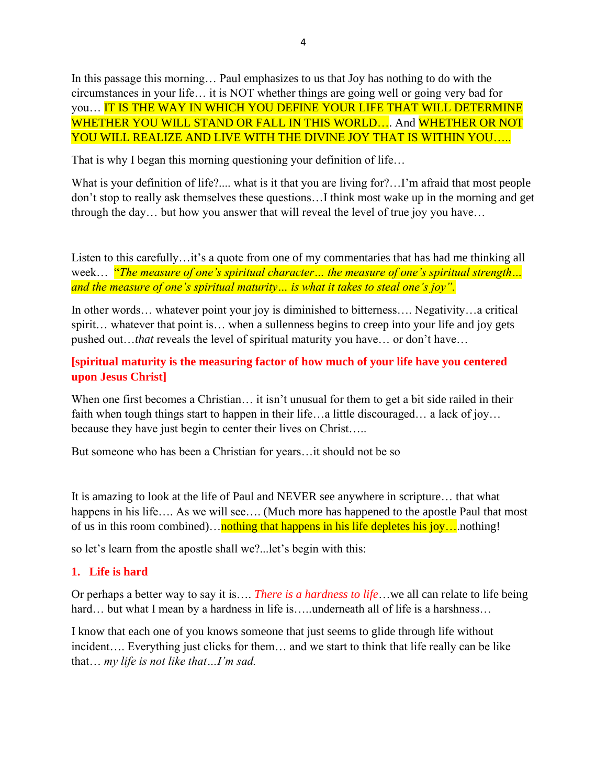In this passage this morning… Paul emphasizes to us that Joy has nothing to do with the circumstances in your life… it is NOT whether things are going well or going very bad for you… IT IS THE WAY IN WHICH YOU DEFINE YOUR LIFE THAT WILL DETERMINE WHETHER YOU WILL STAND OR FALL IN THIS WORLD... And WHETHER OR NOT YOU WILL REALIZE AND LIVE WITH THE DIVINE JOY THAT IS WITHIN YOU.....

That is why I began this morning questioning your definition of life…

What is your definition of life?.... what is it that you are living for?...I'm afraid that most people don't stop to really ask themselves these questions…I think most wake up in the morning and get through the day… but how you answer that will reveal the level of true joy you have…

Listen to this carefully…it's a quote from one of my commentaries that has had me thinking all week… "*The measure of one's spiritual character… the measure of one's spiritual strength… and the measure of one's spiritual maturity… is what it takes to steal one's joy".*

In other words… whatever point your joy is diminished to bitterness…. Negativity…a critical spirit... whatever that point is... when a sullenness begins to creep into your life and joy gets pushed out…*that* reveals the level of spiritual maturity you have… or don't have…

## **[spiritual maturity is the measuring factor of how much of your life have you centered upon Jesus Christ]**

When one first becomes a Christian... it isn't unusual for them to get a bit side railed in their faith when tough things start to happen in their life…a little discouraged… a lack of joy… because they have just begin to center their lives on Christ…..

But someone who has been a Christian for years…it should not be so

It is amazing to look at the life of Paul and NEVER see anywhere in scripture… that what happens in his life.... As we will see.... (Much more has happened to the apostle Paul that most of us in this room combined)…nothing that happens in his life depletes his joy... nothing!

so let's learn from the apostle shall we?...let's begin with this:

## **1. Life is hard**

Or perhaps a better way to say it is…. *There is a hardness to life*…we all can relate to life being hard... but what I mean by a hardness in life is.....underneath all of life is a harshness...

I know that each one of you knows someone that just seems to glide through life without incident…. Everything just clicks for them… and we start to think that life really can be like that… *my life is not like that…I'm sad.*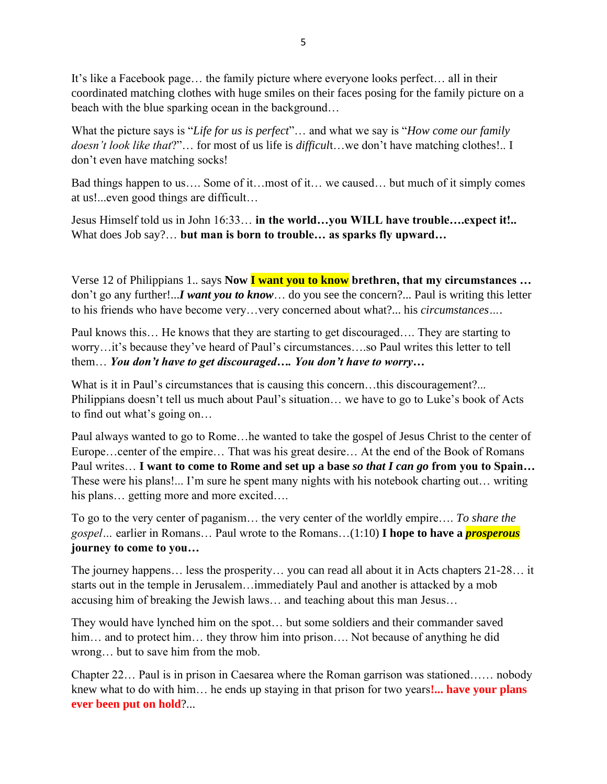It's like a Facebook page… the family picture where everyone looks perfect… all in their coordinated matching clothes with huge smiles on their faces posing for the family picture on a beach with the blue sparking ocean in the background…

What the picture says is "*Life for us is perfect*"… and what we say is "*How come our family doesn't look like that*?"… for most of us life is *difficul*t…we don't have matching clothes!.. I don't even have matching socks!

Bad things happen to us…. Some of it…most of it… we caused… but much of it simply comes at us!...even good things are difficult…

Jesus Himself told us in John 16:33… **in the world…you WILL have trouble….expect it!..**  What does Job say?… **but man is born to trouble… as sparks fly upward…**

Verse 12 of Philippians 1.. says **Now I want you to know brethren, that my circumstances …**  don't go any further!...*I want you to know*… do you see the concern?... Paul is writing this letter to his friends who have become very…very concerned about what?... his *circumstances…*.

Paul knows this… He knows that they are starting to get discouraged…. They are starting to worry…it's because they've heard of Paul's circumstances….so Paul writes this letter to tell them… *You don't have to get discouraged…. You don't have to worry…*

What is it in Paul's circumstances that is causing this concern...this discouragement?... Philippians doesn't tell us much about Paul's situation… we have to go to Luke's book of Acts to find out what's going on…

Paul always wanted to go to Rome…he wanted to take the gospel of Jesus Christ to the center of Europe…center of the empire… That was his great desire… At the end of the Book of Romans Paul writes… **I want to come to Rome and set up a base** *so that I can go* **from you to Spain…**  These were his plans!... I'm sure he spent many nights with his notebook charting out… writing his plans… getting more and more excited….

To go to the very center of paganism… the very center of the worldly empire…. *To share the gospel…* earlier in Romans… Paul wrote to the Romans…(1:10) **I hope to have a** *prosperous* **journey to come to you…**

The journey happens… less the prosperity… you can read all about it in Acts chapters 21-28… it starts out in the temple in Jerusalem…immediately Paul and another is attacked by a mob accusing him of breaking the Jewish laws… and teaching about this man Jesus…

They would have lynched him on the spot… but some soldiers and their commander saved him... and to protect him... they throw him into prison.... Not because of anything he did wrong… but to save him from the mob.

Chapter 22… Paul is in prison in Caesarea where the Roman garrison was stationed…… nobody knew what to do with him… he ends up staying in that prison for two years**!... have your plans ever been put on hold**?...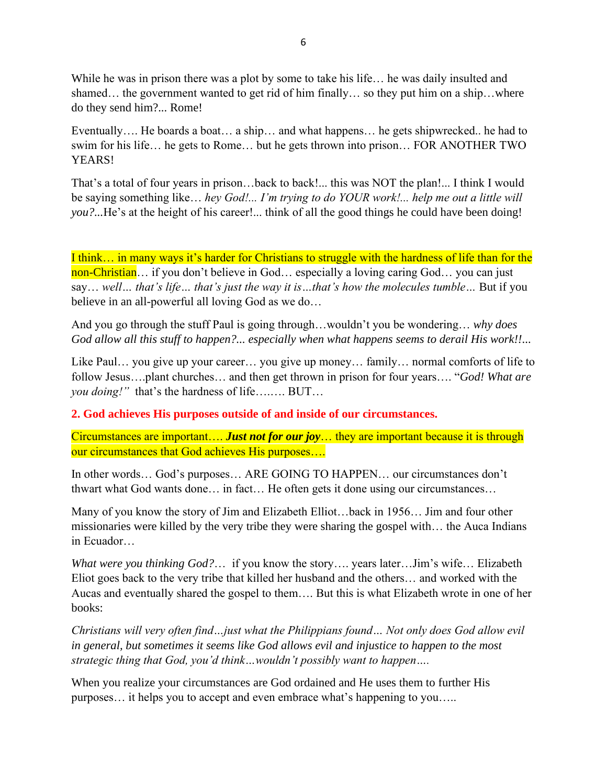While he was in prison there was a plot by some to take his life... he was daily insulted and shamed… the government wanted to get rid of him finally… so they put him on a ship…where do they send him?... Rome!

Eventually…. He boards a boat… a ship… and what happens… he gets shipwrecked.. he had to swim for his life… he gets to Rome… but he gets thrown into prison… FOR ANOTHER TWO YEARS!

That's a total of four years in prison…back to back!... this was NOT the plan!... I think I would be saying something like… *hey God!... I'm trying to do YOUR work!... help me out a little will you?...*He's at the height of his career!... think of all the good things he could have been doing!

I think… in many ways it's harder for Christians to struggle with the hardness of life than for the non-Christian... if you don't believe in God... especially a loving caring God... you can just say… *well… that's life… that's just the way it is…that's how the molecules tumble…* But if you believe in an all-powerful all loving God as we do…

And you go through the stuff Paul is going through…wouldn't you be wondering… *why does God allow all this stuff to happen?... especially when what happens seems to derail His work!!*...

Like Paul… you give up your career… you give up money… family… normal comforts of life to follow Jesus….plant churches… and then get thrown in prison for four years…. "*God! What are you doing!"* that's the hardness of life….…. BUT…

**2. God achieves His purposes outside of and inside of our circumstances.**

Circumstances are important…. *Just not for our joy*… they are important because it is through our circumstances that God achieves His purposes….

In other words… God's purposes… ARE GOING TO HAPPEN… our circumstances don't thwart what God wants done… in fact… He often gets it done using our circumstances…

Many of you know the story of Jim and Elizabeth Elliot…back in 1956… Jim and four other missionaries were killed by the very tribe they were sharing the gospel with… the Auca Indians in Ecuador…

*What were you thinking God?*… if you know the story…. years later…Jim's wife… Elizabeth Eliot goes back to the very tribe that killed her husband and the others… and worked with the Aucas and eventually shared the gospel to them…. But this is what Elizabeth wrote in one of her books:

*Christians will very often find…just what the Philippians found… Not only does God allow evil in general, but sometimes it seems like God allows evil and injustice to happen to the most strategic thing that God, you'd think…wouldn't possibly want to happen….* 

When you realize your circumstances are God ordained and He uses them to further His purposes… it helps you to accept and even embrace what's happening to you…..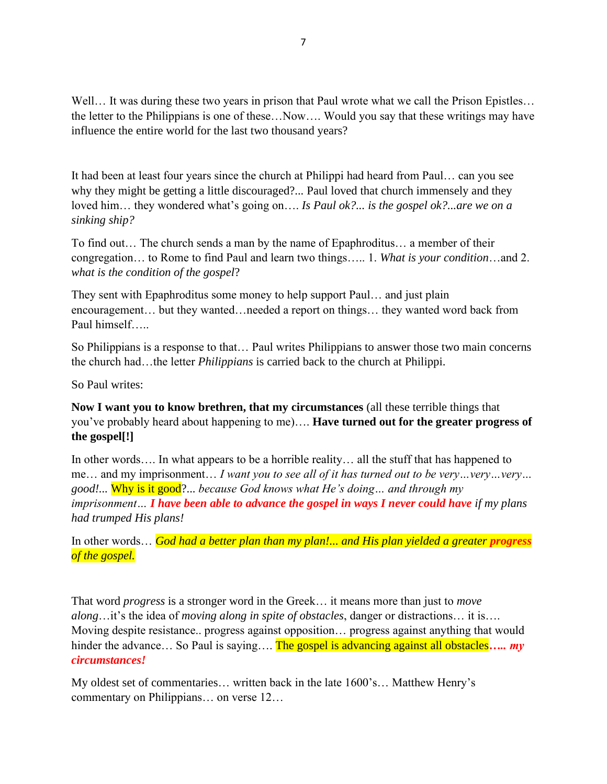Well... It was during these two years in prison that Paul wrote what we call the Prison Epistles... the letter to the Philippians is one of these…Now…. Would you say that these writings may have influence the entire world for the last two thousand years?

It had been at least four years since the church at Philippi had heard from Paul… can you see why they might be getting a little discouraged?... Paul loved that church immensely and they loved him… they wondered what's going on…. *Is Paul ok?... is the gospel ok?...are we on a sinking ship?*

To find out… The church sends a man by the name of Epaphroditus… a member of their congregation… to Rome to find Paul and learn two things….. 1. *What is your condition*…and 2. *what is the condition of the gospel*?

They sent with Epaphroditus some money to help support Paul… and just plain encouragement… but they wanted…needed a report on things… they wanted word back from Paul himself…..

So Philippians is a response to that… Paul writes Philippians to answer those two main concerns the church had…the letter *Philippians* is carried back to the church at Philippi.

So Paul writes:

**Now I want you to know brethren, that my circumstances** (all these terrible things that you've probably heard about happening to me)…. **Have turned out for the greater progress of the gospel[!]**

In other words.... In what appears to be a horrible reality... all the stuff that has happened to me… and my imprisonment… *I want you to see all of it has turned out to be very…very…very… good!...* Why is it good?... *because God knows what He's doing… and through my imprisonment… I have been able to advance the gospel in ways I never could have if my plans had trumped His plans!*

In other words... *God had a better plan than my plan!... and His plan yielded a greater <i>progress of the gospel.*

That word *progress* is a stronger word in the Greek… it means more than just to *move along*…it's the idea of *moving along in spite of obstacles*, danger or distractions… it is…. Moving despite resistance.. progress against opposition… progress against anything that would hinder the advance… So Paul is saying…. The gospel is advancing against all obstacles..... my *circumstances!*

My oldest set of commentaries… written back in the late 1600's… Matthew Henry's commentary on Philippians… on verse 12…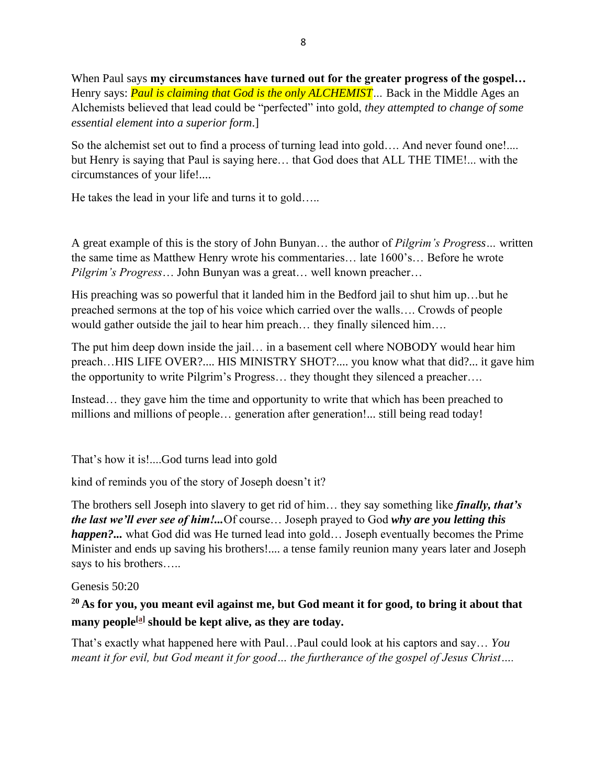When Paul says **my circumstances have turned out for the greater progress of the gospel…**  Henry says: *Paul is claiming that God is the only ALCHEMIST…* Back in the Middle Ages an Alchemists believed that lead could be "perfected" into gold, *they attempted to change of some essential element into a superior form*.]

So the alchemist set out to find a process of turning lead into gold…. And never found one!.... but Henry is saying that Paul is saying here… that God does that ALL THE TIME!... with the circumstances of your life!....

He takes the lead in your life and turns it to gold…..

A great example of this is the story of John Bunyan… the author of *Pilgrim's Progress…* written the same time as Matthew Henry wrote his commentaries… late 1600's… Before he wrote *Pilgrim's Progress*… John Bunyan was a great… well known preacher…

His preaching was so powerful that it landed him in the Bedford jail to shut him up…but he preached sermons at the top of his voice which carried over the walls…. Crowds of people would gather outside the jail to hear him preach… they finally silenced him….

The put him deep down inside the jail… in a basement cell where NOBODY would hear him preach…HIS LIFE OVER?.... HIS MINISTRY SHOT?.... you know what that did?... it gave him the opportunity to write Pilgrim's Progress… they thought they silenced a preacher….

Instead… they gave him the time and opportunity to write that which has been preached to millions and millions of people... generation after generation!... still being read today!

That's how it is!....God turns lead into gold

kind of reminds you of the story of Joseph doesn't it?

The brothers sell Joseph into slavery to get rid of him… they say something like *finally, that's the last we'll ever see of him!...*Of course… Joseph prayed to God *why are you letting this happen?...* what God did was He turned lead into gold... Joseph eventually becomes the Prime Minister and ends up saving his brothers!.... a tense family reunion many years later and Joseph says to his brothers…..

Genesis 50:20

## **<sup>20</sup> As for you, you meant evil against me, but God meant it for good, to bring it about that many people[\[a\]](https://www.biblegateway.com/passage/?search=Genesis+50%3A20&version=ESV#fen-ESV-1527a) should be kept alive, as they are today.**

That's exactly what happened here with Paul…Paul could look at his captors and say… *You meant it for evil, but God meant it for good… the furtherance of the gospel of Jesus Christ….*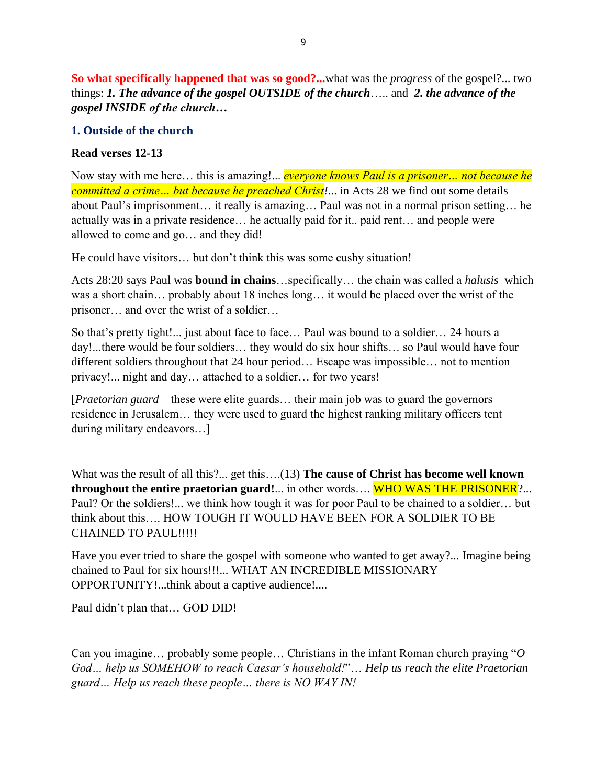**So what specifically happened that was so good?...**what was the *progress* of the gospel?... two things: *1. The advance of the gospel OUTSIDE of the church*….. and *2. the advance of the gospel INSIDE of the church…*

#### **1. Outside of the church**

#### **Read verses 12-13**

Now stay with me here… this is amazing!... *everyone knows Paul is a prisoner… not because he committed a crime… but because he preached Christ!*... in Acts 28 we find out some details about Paul's imprisonment… it really is amazing… Paul was not in a normal prison setting… he actually was in a private residence… he actually paid for it.. paid rent… and people were allowed to come and go… and they did!

He could have visitors… but don't think this was some cushy situation!

Acts 28:20 says Paul was **bound in chains**…specifically… the chain was called a *halusis* which was a short chain… probably about 18 inches long… it would be placed over the wrist of the prisoner… and over the wrist of a soldier…

So that's pretty tight!... just about face to face… Paul was bound to a soldier… 24 hours a day!...there would be four soldiers… they would do six hour shifts… so Paul would have four different soldiers throughout that 24 hour period… Escape was impossible… not to mention privacy!... night and day… attached to a soldier… for two years!

[*Praetorian guard*—these were elite guards… their main job was to guard the governors residence in Jerusalem… they were used to guard the highest ranking military officers tent during military endeavors…]

What was the result of all this?... get this….(13) **The cause of Christ has become well known throughout the entire praetorian guard!**... in other words…. WHO WAS THE PRISONER?... Paul? Or the soldiers!... we think how tough it was for poor Paul to be chained to a soldier… but think about this…. HOW TOUGH IT WOULD HAVE BEEN FOR A SOLDIER TO BE CHAINED TO PAUL!!!!!

Have you ever tried to share the gospel with someone who wanted to get away?... Imagine being chained to Paul for six hours!!!... WHAT AN INCREDIBLE MISSIONARY OPPORTUNITY!...think about a captive audience!....

Paul didn't plan that… GOD DID!

Can you imagine… probably some people… Christians in the infant Roman church praying "*O God… help us SOMEHOW to reach Caesar's household!*"… *Help us reach the elite Praetorian guard… Help us reach these people… there is NO WAY IN!*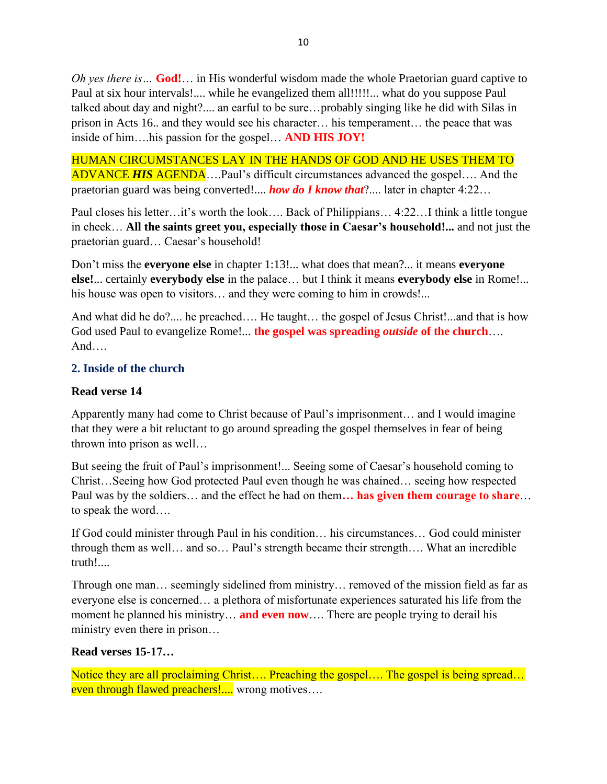*Oh yes there is…* **God!**… in His wonderful wisdom made the whole Praetorian guard captive to Paul at six hour intervals!.... while he evangelized them all!!!!!... what do you suppose Paul talked about day and night?.... an earful to be sure…probably singing like he did with Silas in prison in Acts 16.. and they would see his character… his temperament… the peace that was inside of him….his passion for the gospel… **AND HIS JOY!**

HUMAN CIRCUMSTANCES LAY IN THE HANDS OF GOD AND HE USES THEM TO ADVANCE *HIS* AGENDA….Paul's difficult circumstances advanced the gospel…. And the praetorian guard was being converted!.... *how do I know that*?.... later in chapter 4:22…

Paul closes his letter…it's worth the look…. Back of Philippians… 4:22…I think a little tongue in cheek… **All the saints greet you, especially those in Caesar's household!...** and not just the praetorian guard… Caesar's household!

Don't miss the **everyone else** in chapter 1:13!... what does that mean?... it means **everyone else!**... certainly **everybody else** in the palace… but I think it means **everybody else** in Rome!... his house was open to visitors… and they were coming to him in crowds!...

And what did he do?.... he preached.... He taught... the gospel of Jesus Christ!...and that is how God used Paul to evangelize Rome!... **the gospel was spreading** *outside* **of the church**…. And….

## **2. Inside of the church**

### **Read verse 14**

Apparently many had come to Christ because of Paul's imprisonment… and I would imagine that they were a bit reluctant to go around spreading the gospel themselves in fear of being thrown into prison as well…

But seeing the fruit of Paul's imprisonment!... Seeing some of Caesar's household coming to Christ…Seeing how God protected Paul even though he was chained… seeing how respected Paul was by the soldiers… and the effect he had on them**… has given them courage to share**… to speak the word….

If God could minister through Paul in his condition… his circumstances… God could minister through them as well… and so… Paul's strength became their strength…. What an incredible truth!....

Through one man… seemingly sidelined from ministry… removed of the mission field as far as everyone else is concerned… a plethora of misfortunate experiences saturated his life from the moment he planned his ministry… **and even now**…. There are people trying to derail his ministry even there in prison…

#### **Read verses 15-17…**

Notice they are all proclaiming Christ.... Preaching the gospel.... The gospel is being spread... even through flawed preachers!.... wrong motives....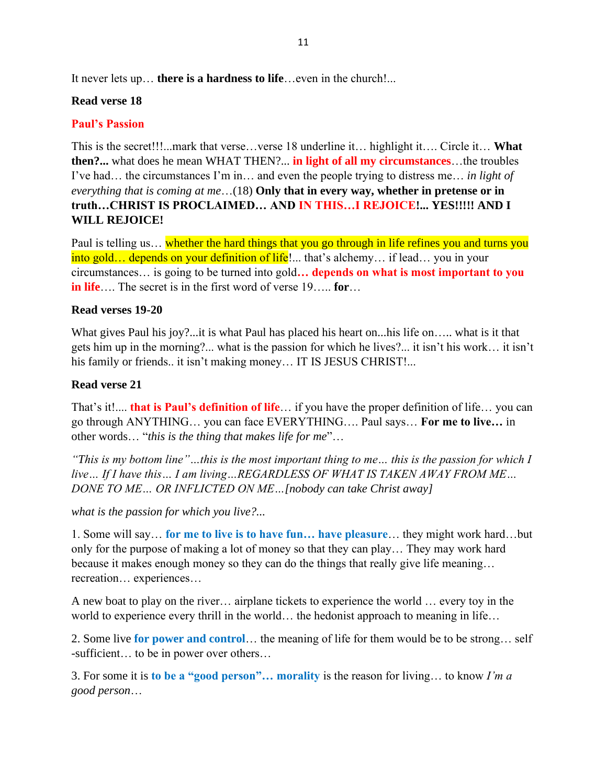It never lets up… **there is a hardness to life**…even in the church!...

### **Read verse 18**

## **Paul's Passion**

This is the secret!!!...mark that verse…verse 18 underline it… highlight it…. Circle it… **What then?...** what does he mean WHAT THEN?... **in light of all my circumstances**…the troubles I've had… the circumstances I'm in… and even the people trying to distress me… *in light of everything that is coming at me*…(18) **Only that in every way, whether in pretense or in truth…CHRIST IS PROCLAIMED… AND IN THIS…I REJOICE!... YES!!!!! AND I WILL REJOICE!** 

Paul is telling us... whether the hard things that you go through in life refines you and turns you into gold... depends on your definition of life!... that's alchemy... if lead... you in your circumstances… is going to be turned into gold**… depends on what is most important to you in life**…. The secret is in the first word of verse 19….. **for**…

#### **Read verses 19-20**

What gives Paul his joy?...it is what Paul has placed his heart on...his life on….. what is it that gets him up in the morning?... what is the passion for which he lives?... it isn't his work… it isn't his family or friends.. it isn't making money... IT IS JESUS CHRIST!...

#### **Read verse 21**

That's it!.... **that is Paul's definition of life**… if you have the proper definition of life… you can go through ANYTHING… you can face EVERYTHING…. Paul says… **For me to live…** in other words… "*this is the thing that makes life for me*"…

*"This is my bottom line"…this is the most important thing to me… this is the passion for which I live… If I have this… I am living…REGARDLESS OF WHAT IS TAKEN AWAY FROM ME… DONE TO ME… OR INFLICTED ON ME…[nobody can take Christ away]*

*what is the passion for which you live?...* 

1. Some will say… **for me to live is to have fun… have pleasure**… they might work hard…but only for the purpose of making a lot of money so that they can play… They may work hard because it makes enough money so they can do the things that really give life meaning… recreation… experiences…

A new boat to play on the river… airplane tickets to experience the world … every toy in the world to experience every thrill in the world… the hedonist approach to meaning in life…

2. Some live **for power and control**… the meaning of life for them would be to be strong… self -sufficient… to be in power over others…

3. For some it is **to be a "good person"… morality** is the reason for living… to know *I'm a good person*…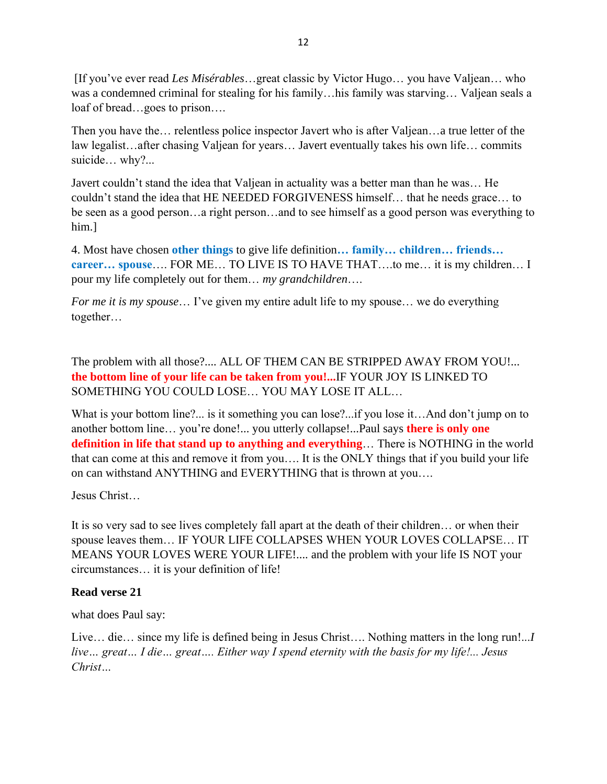[If you've ever read *Les Misérables*…great classic by Victor Hugo… you have Valjean… who was a condemned criminal for stealing for his family…his family was starving… Valjean seals a loaf of bread…goes to prison….

Then you have the… relentless police inspector Javert who is after Valjean…a true letter of the law legalist…after chasing Valjean for years… Javert eventually takes his own life… commits suicide… why?...

Javert couldn't stand the idea that Valjean in actuality was a better man than he was… He couldn't stand the idea that HE NEEDED FORGIVENESS himself… that he needs grace… to be seen as a good person…a right person…and to see himself as a good person was everything to him.]

4. Most have chosen **other things** to give life definition**… family… children… friends… career… spouse**…. FOR ME… TO LIVE IS TO HAVE THAT….to me… it is my children… I pour my life completely out for them… *my grandchildren*….

*For me it is my spouse*... I've given my entire adult life to my spouse... we do everything together…

The problem with all those?.... ALL OF THEM CAN BE STRIPPED AWAY FROM YOU!... **the bottom line of your life can be taken from you!...**IF YOUR JOY IS LINKED TO SOMETHING YOU COULD LOSE… YOU MAY LOSE IT ALL…

What is your bottom line?... is it something you can lose?...if you lose it...And don't jump on to another bottom line… you're done!... you utterly collapse!...Paul says **there is only one definition in life that stand up to anything and everything**… There is NOTHING in the world that can come at this and remove it from you…. It is the ONLY things that if you build your life on can withstand ANYTHING and EVERYTHING that is thrown at you….

Jesus Christ…

It is so very sad to see lives completely fall apart at the death of their children… or when their spouse leaves them… IF YOUR LIFE COLLAPSES WHEN YOUR LOVES COLLAPSE… IT MEANS YOUR LOVES WERE YOUR LIFE!.... and the problem with your life IS NOT your circumstances… it is your definition of life!

## **Read verse 21**

what does Paul say:

Live… die… since my life is defined being in Jesus Christ…. Nothing matters in the long run!...*I live… great… I die… great…. Either way I spend eternity with the basis for my life!... Jesus Christ…*